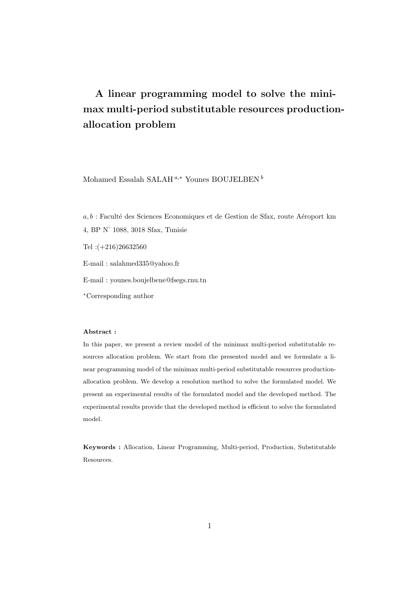# A linear programming model to solve the minimax multi-period substitutable resources productionallocation problem

Mohamed Essalah SALAH<sup> $a,*$ </sup> Younes BOUJELBEN  $^b$ 

 $a, b$ : Faculté des Sciences Economiques et de Gestion de Sfax, route Aéroport km 4, BP N˚ 1088, 3018 Sfax, Tunisie

Tel :(+216)26632560

E-mail : salahmed335@yahoo.fr

E-mail : younes.boujelbene@fsegs.rnu.tn

<sup>∗</sup>Corresponding author

#### Abstract :

In this paper, we present a review model of the minimax multi-period substitutable resources allocation problem. We start from the presented model and we formulate a linear programming model of the minimax multi-period substitutable resources productionallocation problem. We develop a resolution method to solve the formulated model. We present an experimental results of the formulated model and the developed method. The experimental results provide that the developed method is efficient to solve the formulated model.

Keywords : Allocation, Linear Programming, Multi-period, Production, Substitutable Resources.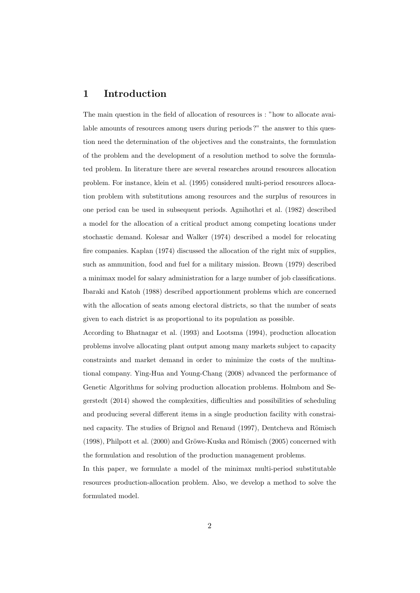#### 1 Introduction

The main question in the field of allocation of resources is : "how to allocate available amounts of resources among users during periods ?" the answer to this question need the determination of the objectives and the constraints, the formulation of the problem and the development of a resolution method to solve the formulated problem. In literature there are several researches around resources allocation problem. For instance, klein et al. (1995) considered multi-period resources allocation problem with substitutions among resources and the surplus of resources in one period can be used in subsequent periods. Agnihothri et al. (1982) described a model for the allocation of a critical product among competing locations under stochastic demand. Kolesar and Walker (1974) described a model for relocating fire companies. Kaplan (1974) discussed the allocation of the right mix of supplies, such as ammunition, food and fuel for a military mission. Brown (1979) described a minimax model for salary administration for a large number of job classifications. Ibaraki and Katoh (1988) described apportionment problems which are concerned with the allocation of seats among electoral districts, so that the number of seats given to each district is as proportional to its population as possible.

According to Bhatnagar et al. (1993) and Lootsma (1994), production allocation problems involve allocating plant output among many markets subject to capacity constraints and market demand in order to minimize the costs of the multinational company. Ying-Hua and Young-Chang (2008) advanced the performance of Genetic Algorithms for solving production allocation problems. Holmbom and Segerstedt (2014) showed the complexities, difficulties and possibilities of scheduling and producing several different items in a single production facility with constrained capacity. The studies of Brignol and Renaud (1997), Dentcheva and Römisch  $(1998)$ , Philpott et al.  $(2000)$  and Gröwe-Kuska and Römisch  $(2005)$  concerned with the formulation and resolution of the production management problems.

In this paper, we formulate a model of the minimax multi-period substitutable resources production-allocation problem. Also, we develop a method to solve the formulated model.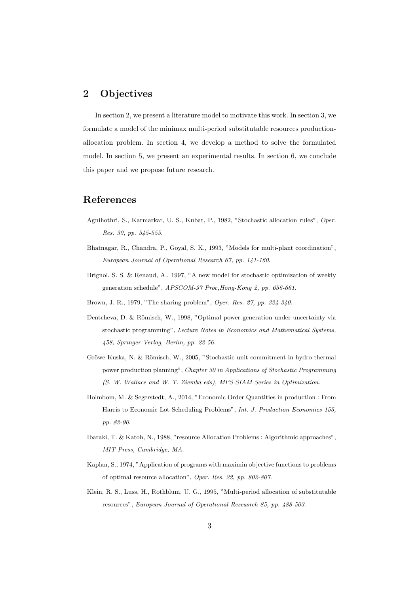### 2 Objectives

In section 2, we present a literature model to motivate this work. In section 3, we formulate a model of the minimax multi-period substitutable resources productionallocation problem. In section 4, we develop a method to solve the formulated model. In section 5, we present an experimental results. In section 6, we conclude this paper and we propose future research.

## References

- Agnihothri, S., Karmarkar, U. S., Kubat, P., 1982, "Stochastic allocation rules", Oper. Res. 30, pp. 545-555.
- Bhatnagar, R., Chandra, P., Goyal, S. K., 1993, "Models for multi-plant coordination", European Journal of Operational Research 67, pp. 141-160.
- Brignol, S. S. & Renaud, A., 1997, "A new model for stochastic optimization of weekly generation schedule", APSCOM-97 Proc,Hong-Kong 2, pp. 656-661.
- Brown, J. R., 1979, "The sharing problem", Oper. Res. 27, pp. 324-340.
- Dentcheva, D. & Römisch, W., 1998, "Optimal power generation under uncertainty via stochastic programming", Lecture Notes in Economics and Mathematical Systems, 458, Springer-Verlag, Berlin, pp. 22-56.
- Gröwe-Kuska, N. & Römisch, W., 2005, "Stochastic unit commitment in hydro-thermal power production planning", Chapter 30 in Applications of Stochastic Programming (S. W. Wallace and W. T. Ziemba eds), MPS-SIAM Series in Optimization.
- Holmbom, M. & Segerstedt, A., 2014, "Economic Order Quantities in production : From Harris to Economic Lot Scheduling Problems", Int. J. Production Economics 155, pp. 82-90.
- Ibaraki, T. & Katoh, N., 1988, "resource Allocation Problems : Algorithmic approaches", MIT Press, Cambridge, MA.
- Kaplan, S., 1974, "Application of programs with maximin objective functions to problems of optimal resource allocation", Oper. Res. 22, pp. 802-807.
- Klein, R. S., Luss, H., Rothblum, U. G., 1995, "Multi-period allocation of substitutable resources", European Journal of Operational Reseasrch 85, pp. 488-503.